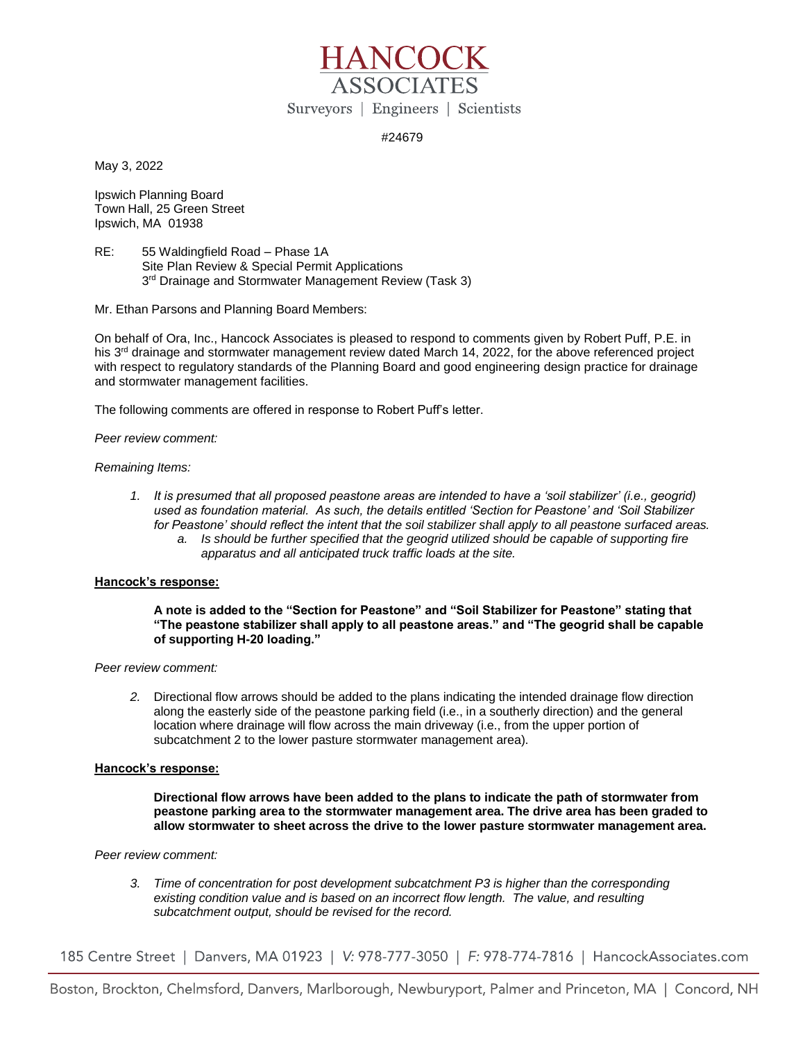

# #24679

May 3, 2022

Ipswich Planning Board Town Hall, 25 Green Street Ipswich, MA 01938

RE: 55 Waldingfield Road – Phase 1A Site Plan Review & Special Permit Applications 3<sup>rd</sup> Drainage and Stormwater Management Review (Task 3)

Mr. Ethan Parsons and Planning Board Members:

On behalf of Ora, Inc., Hancock Associates is pleased to respond to comments given by Robert Puff, P.E. in his 3<sup>rd</sup> drainage and stormwater management review dated March 14, 2022, for the above referenced project with respect to regulatory standards of the Planning Board and good engineering design practice for drainage and stormwater management facilities.

The following comments are offered in response to Robert Puff's letter.

*Peer review comment:*

## *Remaining Items:*

*1. It is presumed that all proposed peastone areas are intended to have a 'soil stabilizer' (i.e., geogrid) used as foundation material. As such, the details entitled 'Section for Peastone' and 'Soil Stabilizer for Peastone' should reflect the intent that the soil stabilizer shall apply to all peastone surfaced areas. a. Is should be further specified that the geogrid utilized should be capable of supporting fire apparatus and all anticipated truck traffic loads at the site.* 

# **Hancock's response:**

**A note is added to the "Section for Peastone" and "Soil Stabilizer for Peastone" stating that "The peastone stabilizer shall apply to all peastone areas." and "The geogrid shall be capable of supporting H-20 loading."**

### *Peer review comment:*

*2.* Directional flow arrows should be added to the plans indicating the intended drainage flow direction along the easterly side of the peastone parking field (i.e., in a southerly direction) and the general location where drainage will flow across the main driveway (i.e., from the upper portion of subcatchment 2 to the lower pasture stormwater management area).

### **Hancock's response:**

**Directional flow arrows have been added to the plans to indicate the path of stormwater from peastone parking area to the stormwater management area. The drive area has been graded to allow stormwater to sheet across the drive to the lower pasture stormwater management area.** 

*Peer review comment:*

*3. Time of concentration for post development subcatchment P3 is higher than the corresponding existing condition value and is based on an incorrect flow length. The value, and resulting subcatchment output, should be revised for the record.* 

185 Centre Street | Danvers, MA 01923 | V: 978-777-3050 | F: 978-774-7816 | HancockAssociates.com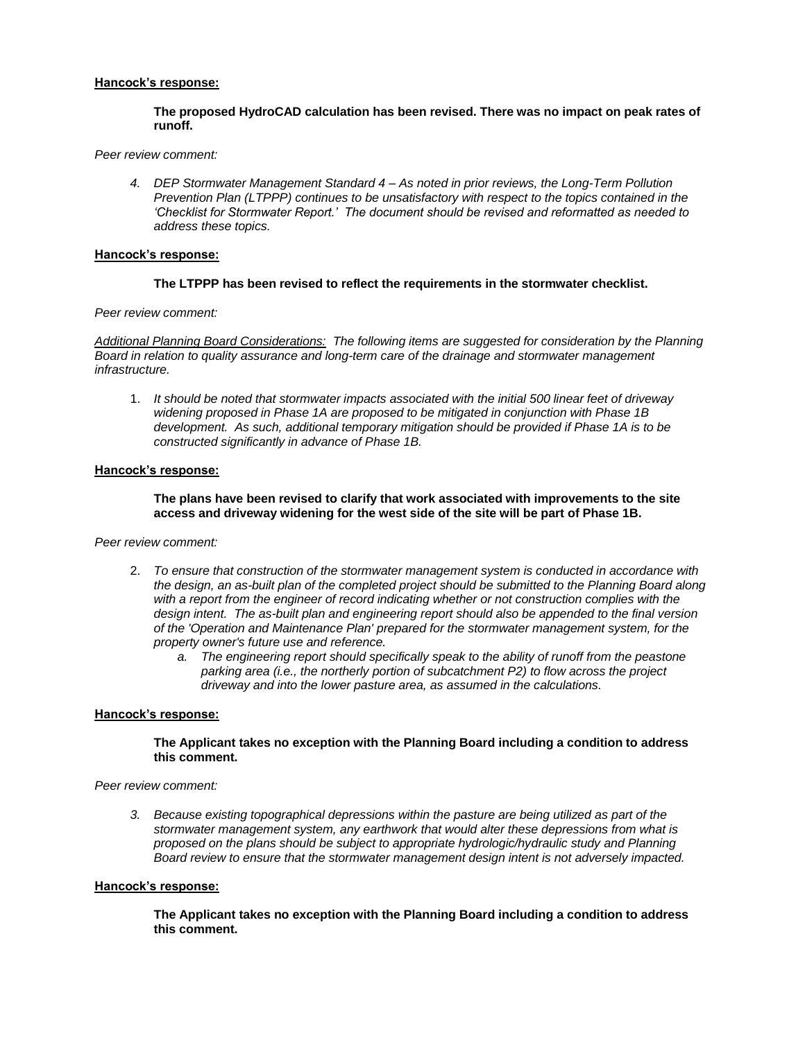## **Hancock's response:**

### **The proposed HydroCAD calculation has been revised. There was no impact on peak rates of runoff.**

#### *Peer review comment:*

*4. DEP Stormwater Management Standard 4 – As noted in prior reviews, the Long-Term Pollution Prevention Plan (LTPPP) continues to be unsatisfactory with respect to the topics contained in the 'Checklist for Stormwater Report.' The document should be revised and reformatted as needed to address these topics.* 

#### **Hancock's response:**

### **The LTPPP has been revised to reflect the requirements in the stormwater checklist.**

*Peer review comment:*

*Additional Planning Board Considerations: The following items are suggested for consideration by the Planning Board in relation to quality assurance and long-term care of the drainage and stormwater management infrastructure.* 

1. *It should be noted that stormwater impacts associated with the initial 500 linear feet of driveway widening proposed in Phase 1A are proposed to be mitigated in conjunction with Phase 1B development. As such, additional temporary mitigation should be provided if Phase 1A is to be constructed significantly in advance of Phase 1B.*

#### **Hancock's response:**

## **The plans have been revised to clarify that work associated with improvements to the site access and driveway widening for the west side of the site will be part of Phase 1B.**

### *Peer review comment:*

- 2. *To ensure that construction of the stormwater management system is conducted in accordance with the design, an as-built plan of the completed project should be submitted to the Planning Board along*  with a report from the engineer of record indicating whether or not construction complies with the *design intent. The as-built plan and engineering report should also be appended to the final version of the 'Operation and Maintenance Plan' prepared for the stormwater management system, for the property owner's future use and reference.* 
	- *a. The engineering report should specifically speak to the ability of runoff from the peastone parking area (i.e., the northerly portion of subcatchment P2) to flow across the project driveway and into the lower pasture area, as assumed in the calculations.*

### **Hancock's response:**

#### **The Applicant takes no exception with the Planning Board including a condition to address this comment.**

## *Peer review comment:*

*3. Because existing topographical depressions within the pasture are being utilized as part of the stormwater management system, any earthwork that would alter these depressions from what is proposed on the plans should be subject to appropriate hydrologic/hydraulic study and Planning Board review to ensure that the stormwater management design intent is not adversely impacted.* 

#### **Hancock's response:**

**The Applicant takes no exception with the Planning Board including a condition to address this comment.**